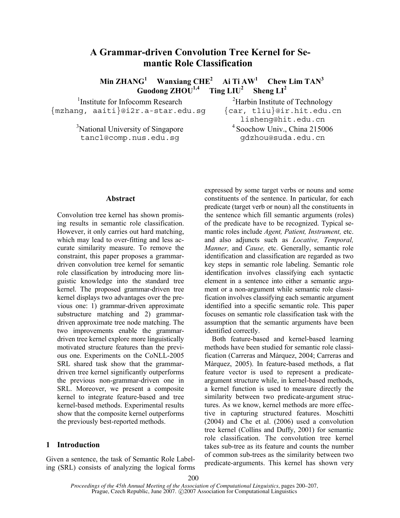# **A Grammar-driven Convolution Tree Kernel for Semantic Role Classification**

**Min ZHANG<sup>1</sup> Wanxiang CHE2 Ai Ti AW1 Chew Lim TAN3**  Guodong  $\mathbf{ZHOU}^{1,4}$  Ting  $\mathbf{LIU}^2$  Sheng  $\mathbf{LI}^2$ 

1 Institute for Infocomm Research {mzhang, aaiti}@i2r.a-star.edu.sg

> <sup>3</sup>National University of Singapore tancl@comp.nus.edu.sg

<sup>2</sup>Harbin Institute of Technology {car, tliu}@ir.hit.edu.cn lisheng@hit.edu.cn 4 Soochow Univ., China 215006 gdzhou@suda.edu.cn

#### **Abstract**

Convolution tree kernel has shown promising results in semantic role classification. However, it only carries out hard matching, which may lead to over-fitting and less accurate similarity measure. To remove the constraint, this paper proposes a grammardriven convolution tree kernel for semantic role classification by introducing more linguistic knowledge into the standard tree kernel. The proposed grammar-driven tree kernel displays two advantages over the previous one: 1) grammar-driven approximate substructure matching and 2) grammardriven approximate tree node matching. The two improvements enable the grammardriven tree kernel explore more linguistically motivated structure features than the previous one. Experiments on the CoNLL-2005 SRL shared task show that the grammardriven tree kernel significantly outperforms the previous non-grammar-driven one in SRL. Moreover, we present a composite kernel to integrate feature-based and tree kernel-based methods. Experimental results show that the composite kernel outperforms the previously best-reported methods.

## **1 Introduction**

Given a sentence, the task of Semantic Role Labeling (SRL) consists of analyzing the logical forms expressed by some target verbs or nouns and some constituents of the sentence. In particular, for each predicate (target verb or noun) all the constituents in the sentence which fill semantic arguments (roles) of the predicate have to be recognized. Typical semantic roles include *Agent, Patient, Instrument,* etc. and also adjuncts such as *Locative, Temporal, Manner,* and *Cause,* etc. Generally, semantic role identification and classification are regarded as two key steps in semantic role labeling. Semantic role identification involves classifying each syntactic element in a sentence into either a semantic argument or a non-argument while semantic role classification involves classifying each semantic argument identified into a specific semantic role. This paper focuses on semantic role classification task with the assumption that the semantic arguments have been identified correctly.

Both feature-based and kernel-based learning methods have been studied for semantic role classification (Carreras and Màrquez, 2004; Carreras and Màrquez, 2005). In feature-based methods, a flat feature vector is used to represent a predicateargument structure while, in kernel-based methods, a kernel function is used to measure directly the similarity between two predicate-argument structures. As we know, kernel methods are more effective in capturing structured features. Moschitti (2004) and Che et al. (2006) used a convolution tree kernel (Collins and Duffy, 2001) for semantic role classification. The convolution tree kernel takes sub-tree as its feature and counts the number of common sub-trees as the similarity between two predicate-arguments. This kernel has shown very

*Proceedings of the 45th Annual Meeting of the Association of Computational Linguistics*, pages 200–207, Prague, Czech Republic, June 2007. © 2007 Association for Computational Linguistics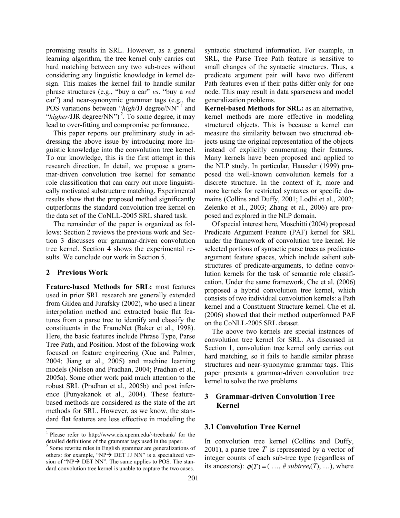promising results in SRL. However, as a general learning algorithm, the tree kernel only carries out hard matching between any two sub-trees without considering any linguistic knowledge in kernel design. This makes the kernel fail to handle similar phrase structures (e.g., "buy a car" *vs*. "buy a *red* car") and near-synonymic grammar tags (e.g., the POS variations between "*high*/JJ degree/NN"<sup>1</sup> and "*higher*/JJR degree/NN")<sup>2</sup>. To some degree, it may lead to over-fitting and compromise performance.

This paper reports our preliminary study in addressing the above issue by introducing more linguistic knowledge into the convolution tree kernel. To our knowledge, this is the first attempt in this research direction. In detail, we propose a grammar-driven convolution tree kernel for semantic role classification that can carry out more linguistically motivated substructure matching. Experimental results show that the proposed method significantly outperforms the standard convolution tree kernel on the data set of the CoNLL-2005 SRL shared task.

The remainder of the paper is organized as follows: Section 2 reviews the previous work and Section 3 discusses our grammar-driven convolution tree kernel. Section 4 shows the experimental results. We conclude our work in Section 5.

## **2 Previous Work**

 $\overline{\phantom{a}}$ 

**Feature-based Methods for SRL:** most features used in prior SRL research are generally extended from Gildea and Jurafsky (2002), who used a linear interpolation method and extracted basic flat features from a parse tree to identify and classify the constituents in the FrameNet (Baker et al., 1998). Here, the basic features include Phrase Type, Parse Tree Path, and Position. Most of the following work focused on feature engineering (Xue and Palmer, 2004; Jiang et al., 2005) and machine learning models (Nielsen and Pradhan, 2004; Pradhan et al., 2005a). Some other work paid much attention to the robust SRL (Pradhan et al., 2005b) and post inference (Punyakanok et al., 2004). These featurebased methods are considered as the state of the art methods for SRL. However, as we know, the standard flat features are less effective in modeling the syntactic structured information. For example, in SRL, the Parse Tree Path feature is sensitive to small changes of the syntactic structures. Thus, a predicate argument pair will have two different Path features even if their paths differ only for one node. This may result in data sparseness and model generalization problems.

**Kernel-based Methods for SRL:** as an alternative, kernel methods are more effective in modeling structured objects. This is because a kernel can measure the similarity between two structured objects using the original representation of the objects instead of explicitly enumerating their features. Many kernels have been proposed and applied to the NLP study. In particular, Haussler (1999) proposed the well-known convolution kernels for a discrete structure. In the context of it, more and more kernels for restricted syntaxes or specific domains (Collins and Duffy, 2001; Lodhi et al., 2002; Zelenko et al., 2003; Zhang et al., 2006) are proposed and explored in the NLP domain.

Of special interest here, Moschitti (2004) proposed Predicate Argument Feature (PAF) kernel for SRL under the framework of convolution tree kernel. He selected portions of syntactic parse trees as predicateargument feature spaces, which include salient substructures of predicate-arguments, to define convolution kernels for the task of semantic role classification. Under the same framework, Che et al. (2006) proposed a hybrid convolution tree kernel, which consists of two individual convolution kernels: a Path kernel and a Constituent Structure kernel. Che et al. (2006) showed that their method outperformed PAF on the CoNLL-2005 SRL dataset.

The above two kernels are special instances of convolution tree kernel for SRL. As discussed in Section 1, convolution tree kernel only carries out hard matching, so it fails to handle similar phrase structures and near-synonymic grammar tags. This paper presents a grammar-driven convolution tree kernel to solve the two problems

## **3 Grammar-driven Convolution Tree Kernel**

## **3.1 Convolution Tree Kernel**

In convolution tree kernel (Collins and Duffy, 2001), a parse tree *T* is represented by a vector of integer counts of each sub-tree type (regardless of its ancestors):  $\phi(T) = (..., \# subtree_i(T), ...)$ , where

<sup>1</sup> Please refer to http://www.cis.upenn.edu/~treebank/ for the detailed definitions of the grammar tags used in the paper.

<sup>2</sup> Some rewrite rules in English grammar are generalizations of others: for example, "NP $\rightarrow$  DET JJ NN" is a specialized version of "NP $\rightarrow$  DET NN". The same applies to POS. The standard convolution tree kernel is unable to capture the two cases.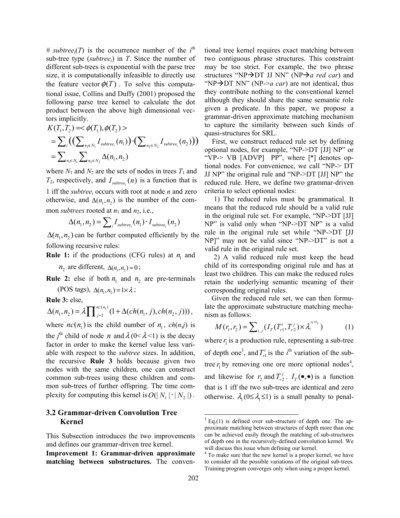# subtree<sub>i</sub>(T) is the occurrence number of the  $i^{\text{th}}$ sub-tree type (*subtreei*) in *T*. Since the number of different sub-trees is exponential with the parse tree size, it is computationally infeasible to directly use the feature vector  $\phi(T)$ . To solve this computational issue, Collins and Duffy (2001) proposed the following parse tree kernel to calculate the dot product between the above high dimensional vectors implicitly.

$$
K(T_1, T_2) = <\phi(T_1), \phi(T_2) >= \sum_i ((\sum_{n_1 \in N_1} I_{subtree_i}(n_1)) \cdot (\sum_{n_2 \in N_2} I_{subtree_i}(n_2)))= \sum_{n_1 \in N_1} \sum_{n_2 \in N_2} \Delta(n_1, n_2)
$$

where  $N_1$  and  $N_2$  are the sets of nodes in trees  $T_1$  and  $T_2$ , respectively, and  $I_{subtree_i}(n)$  is a function that is 1 iff the *subtreei* occurs with root at node *n* and zero otherwise, and  $\Delta(n_1, n_2)$  is the number of the common *subtrees* rooted at  $n_1$  and  $n_2$ , i.e.,

$$
\Delta(n_1, n_2) = \sum_i I_{subtree_i}(n_1) \cdot I_{subtree_i}(n_2)
$$

 $\Delta(n_1, n_2)$  can be further computed efficiently by the following recursive rules:

**Rule 1:** if the productions (CFG rules) at  $n_1$  and

 $n_2$  are different,  $\Delta(n_1, n_2) = 0$ ;

**Rule 2:** else if both  $n_1$  and  $n_2$  are pre-terminals

(POS tags),  $\Delta(n_1, n_2) = 1 \times \lambda$ ;

**Rule 3:** else,

$$
\Delta(n_1, n_2) = \lambda \prod_{j=1}^{n c(n_1)} (1 + \Delta(ch(n_1, j), ch(n_2, j))),
$$

where  $nc(n_1)$  is the child number of  $n_1$ ,  $ch(n,j)$  is the *j*<sup>th</sup> child of node *n* and  $\lambda$  (0<  $\lambda$  <1) is the decay factor in order to make the kernel value less variable with respect to the *subtree* sizes. In addition, the recursive **Rule 3** holds because given two nodes with the same children, one can construct common sub-trees using these children and common sub-trees of further offspring. The time complexity for computing this kernel is  $O(|N_1| \cdot |N_2|)$ .

## **3.2 Grammar-driven Convolution Tree Kernel**

This Subsection introduces the two improvements and defines our grammar-driven tree kernel.

**Improvement 1: Grammar-driven approximate matching between substructures.** The conventional tree kernel requires exact matching between two contiguous phrase structures. This constraint may be too strict. For example, the two phrase structures "NP $\rightarrow$ DT JJ NN" (NP $\rightarrow$ *a red car*) and "NP $\rightarrow$ DT NN" (NP->*a car*) are not identical, thus they contribute nothing to the conventional kernel although they should share the same semantic role given a predicate. In this paper, we propose a grammar-driven approximate matching mechanism to capture the similarity between such kinds of quasi-structures for SRL.

First, we construct reduced rule set by defining optional nodes, for example, "NP->DT [JJ] NP" or "VP-> VB [ADVP] PP", where [\*] denotes optional nodes. For convenience, we call "NP-> DT JJ NP" the original rule and "NP->DT [JJ] NP" the reduced rule. Here, we define two grammar-driven criteria to select optional nodes:

1) The reduced rules must be grammatical. It means that the reduced rule should be a valid rule in the original rule set. For example, "NP->DT [JJ] NP" is valid only when "NP->DT NP" is a valid rule in the original rule set while "NP->DT [JJ NP]" may not be valid since "NP->DT" is not a valid rule in the original rule set.

2) A valid reduced rule must keep the head child of its corresponding original rule and has at least two children. This can make the reduced rules retain the underlying semantic meaning of their corresponding original rules.

Given the reduced rule set, we can then formulate the approximate substructure matching mechanism as follows:

$$
M(r_1, r_2) = \sum_{i,j} (I_T(T_{r1}^i, T_{r2}^j) \times \lambda_1^{a_1 + b_j})
$$
 (1)

where  $r_i$  is a production rule, representing a sub-tree of depth one<sup>3</sup>, and  $T_{r_1}^i$  is the *i*<sup>th</sup> variation of the subtree  $r_1$  by removing one ore more optional nodes<sup>4</sup>, and likewise for  $r_2$  and  $T_{r2}^j$ .  $I_T(\bullet, \bullet)$  is a function that is 1 iff the two sub-trees are identical and zero otherwise.  $\lambda_1 (0 \le \lambda_1 \le 1)$  is a small penalty to penal-

 $\overline{\phantom{a}}$ 

 $3$  Eq.(1) is defined over sub-structure of depth one. The approximate matching between structures of depth more than one can be achieved easily through the matching of sub-structures of depth one in the recursively-defined convolution kernel. We will discuss this issue when defining our kernel.

<sup>4</sup> To make sure that the new kernel is a proper kernel, we have to consider all the possible variations of the original sub-trees. Training program converges only when using a proper kernel.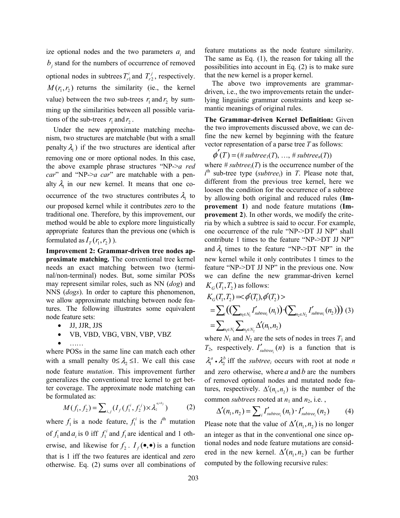ize optional nodes and the two parameters  $a_i$  and *, stand for the numbers of occurrence of removed* optional nodes in subtrees  $T_{r1}^i$  and  $T_{r2}^j$ , respectively.  $M(r_1, r_2)$  returns the similarity (ie., the kernel value) between the two sub-trees  $r_1$  and  $r_2$  by summing up the similarities between all possible variations of the sub-trees  $r_1$  and  $r_2$ .

Under the new approximate matching mechanism, two structures are matchable (but with a small penalty  $\lambda$ <sub>1</sub>) if the two structures are identical after removing one or more optional nodes. In this case, the above example phrase structures "NP->*a red car*" and "NP->*a car*" are matchable with a penalty  $\lambda_1$  in our new kernel. It means that one cooccurrence of the two structures contributes  $\lambda_1$  to our proposed kernel while it contributes zero to the traditional one. Therefore, by this improvement, our method would be able to explore more linguistically appropriate features than the previous one (which is formulated as  $I_T(r_1, r_2)$ ).

**Improvement 2: Grammar-driven tree nodes approximate matching.** The conventional tree kernel needs an exact matching between two (terminal/non-terminal) nodes. But, some similar POSs may represent similar roles, such as NN (*dog*) and NNS (*dogs*). In order to capture this phenomenon, we allow approximate matching between node features. The following illustrates some equivalent node feature sets:

- JJ, JJR, JJS
- VB, VBD, VBG, VBN, VBP, VBZ
- $\bullet$   $\ldots$ .

where POSs in the same line can match each other with a small penalty  $0 \leq \lambda_2 \leq 1$ . We call this case node feature *mutation*. This improvement further generalizes the conventional tree kernel to get better coverage. The approximate node matching can be formulated as:

$$
M(f_1, f_2) = \sum_{i,j} (I_f(f_1^{i}, f_2^{j}) \times \lambda_2^{a_i+b_j})
$$
 (2)

where  $f_1$  is a node feature,  $f_1^i$  is the *i*<sup>th</sup> mutation of  $f_1$  and  $a_i$  is 0 iff  $f_1^i$  and  $f_1$  are identical and 1 otherwise, and likewise for  $f_2$ .  $I_f(\bullet, \bullet)$  is a function that is 1 iff the two features are identical and zero otherwise. Eq. (2) sums over all combinations of

feature mutations as the node feature similarity. The same as Eq. (1), the reason for taking all the possibilities into account in Eq. (2) is to make sure that the new kernel is a proper kernel.

The above two improvements are grammardriven, i.e., the two improvements retain the underlying linguistic grammar constraints and keep semantic meanings of original rules.

**The Grammar-driven Kernel Definition:** Given the two improvements discussed above, we can define the new kernel by beginning with the feature vector representation of a parse tree *T* as follows:

$$
\phi'(T)=(\# subtree_1(T),\ldots,\# subtree_n(T))
$$

where  $\# subtree_i(T)$  is the occurrence number of the  $i<sup>th</sup>$  sub-tree type (*subtree<sub>i</sub>*) in *T*. Please note that, different from the previous tree kernel, here we loosen the condition for the occurrence of a subtree by allowing both original and reduced rules (**Improvement 1**) and node feature mutations (**Improvement 2**). In other words, we modify the criteria by which a subtree is said to occur. For example, one occurrence of the rule "NP->DT JJ NP" shall contribute 1 times to the feature "NP->DT JJ NP" and  $\lambda$ <sub>1</sub> times to the feature "NP->DT NP" in the new kernel while it only contributes 1 times to the feature "NP->DT JJ NP" in the previous one. Now we can define the new grammar-driven kernel  $K_G(T_1, T_2)$  as follows:

$$
K_G(T_1, T_2) = \phi'(T_1), \phi'(T_2) >
$$
  
= 
$$
\sum_i ((\sum_{n_1 \in N_1} I'_{subtree_i}(n_1)) \cdot (\sum_{n_2 \in N_2} I'_{subtree_i}(n_2))) (3)
$$
  
= 
$$
\sum_{n_1 \in N_1} \sum_{n_2 \in N_2} \Delta'(n_1, n_2)
$$

where  $N_1$  and  $N_2$  are the sets of nodes in trees  $T_1$  and  $T_2$ , respectively.  $I'_{subtree_i}(n)$  is a function that is  $\lambda_1^a \cdot \lambda_2^b$  iff the *subtree<sub>i</sub>* occurs with root at node *n* and zero otherwise, where *a* and *b* are the numbers of removed optional nodes and mutated node features, respectively.  $\Delta'(n_1, n_2)$  is the number of the common *subtrees* rooted at  $n_1$  and  $n_2$ , i.e.,

$$
\Delta'(n_1, n_2) = \sum_i I'_{subtree_i}(n_1) \cdot I'_{subtree_i}(n_2)
$$
 (4)

Please note that the value of  $\Delta'(n_1, n_2)$  is no longer an integer as that in the conventional one since optional nodes and node feature mutations are considered in the new kernel.  $\Delta'(n_1, n_2)$  can be further computed by the following recursive rules: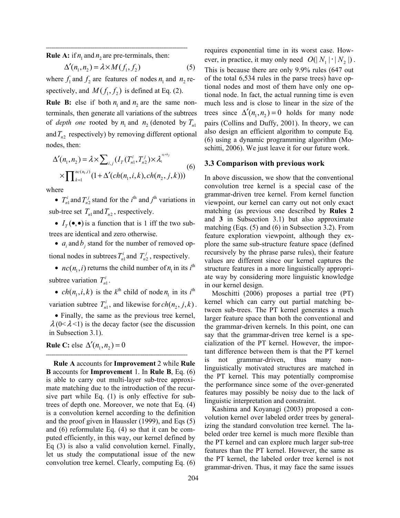**Rule A:** if  $n_1$  and  $n_2$  are pre-terminals, then:

**============================================================================** 

$$
\Delta'(n_1, n_2) = \lambda \times M(f_1, f_2) \tag{5}
$$

where  $f_1$  and  $f_2$  are features of nodes  $n_1$  and  $n_2$  respectively, and  $M(f_1, f_2)$  is defined at Eq. (2).

**Rule B:** else if both  $n_1$  and  $n_2$  are the same nonterminals, then generate all variations of the subtrees of *depth one* rooted by  $n_1$  and  $n_2$  (denoted by  $T_{n_1}$ ) and  $T_{n2}$  respectively) by removing different optional nodes, then:

$$
\Delta'(n_1, n_2) = \lambda \times \sum_{i,j} (I_T(T_{n1}^i, T_{n2}^j) \times \lambda_1^{a_1+b_j})
$$
  
 
$$
\times \prod_{k=1}^{nc(n_1,i)} (1 + \Delta'(ch(n_1, i, k), ch(n_2, j, k)))
$$
 (6)

where

•  $T_{n1}^i$  and  $T_{n2}^j$  stand for the *i*<sup>th</sup> and *j*<sup>th</sup> variations in sub-tree set  $T_{n1}$  and  $T_{n2}$ , respectively.

•  $I_{\tau}(\bullet,\bullet)$  is a function that is 1 iff the two subtrees are identical and zero otherwise.

•  $a_i$  and  $b_j$  stand for the number of removed optional nodes in subtrees  $T_{n1}^i$  and  $T_{n2}^j$ , respectively.

• *nc*( $n_1$ , *i*) returns the child number of  $n_1$  in its *i*<sup>th</sup> subtree variation  $T_{n_1}^i$ .

• *ch*( $n_1$ , *i*, *k*) is the *k*<sup>th</sup> child of node  $n_1$  in its *i*<sup>th</sup> variation subtree  $T_{n_1}^i$ , and likewise for  $ch(n_2, j, k)$ .

• Finally, the same as the previous tree kernel,  $\lambda$  (0< $\lambda$ <1) is the decay factor (see the discussion in Subsection 3.1).

**============================================================================** 

**Rule C:** else  $\Delta'$  ( $n_1, n_2$ ) = 0

**Rule A** accounts for **Improvement** 2 while **Rule B** accounts for **Improvement** 1. In **Rule B**, Eq. (6) is able to carry out multi-layer sub-tree approximate matching due to the introduction of the recursive part while Eq. (1) is only effective for subtrees of depth one. Moreover, we note that Eq. (4) is a convolution kernel according to the definition and the proof given in Haussler (1999), and Eqs (5) and (6) reformulate Eq. (4) so that it can be computed efficiently, in this way, our kernel defined by Eq (3) is also a valid convolution kernel. Finally, let us study the computational issue of the new convolution tree kernel. Clearly, computing Eq. (6) requires exponential time in its worst case. However, in practice, it may only need  $O(|N_1| \cdot | N_2|)$ . This is because there are only 9.9% rules (647 out of the total 6,534 rules in the parse trees) have optional nodes and most of them have only one optional node. In fact, the actual running time is even much less and is close to linear in the size of the trees since  $\Delta'$  ( $n_1, n_2$ ) = 0 holds for many node pairs (Collins and Duffy, 2001). In theory, we can also design an efficient algorithm to compute Eq. (6) using a dynamic programming algorithm (Moschitti, 2006). We just leave it for our future work.

#### **3.3 Comparison with previous work**

In above discussion, we show that the conventional convolution tree kernel is a special case of the grammar-driven tree kernel. From kernel function viewpoint, our kernel can carry out not only exact matching (as previous one described by **Rules 2**  and **3** in Subsection 3.1) but also approximate matching (Eqs. (5) and (6) in Subsection 3.2). From feature exploration viewpoint, although they explore the same sub-structure feature space (defined recursively by the phrase parse rules), their feature values are different since our kernel captures the structure features in a more linguistically appropriate way by considering more linguistic knowledge in our kernel design.

Moschitti (2006) proposes a partial tree (PT) kernel which can carry out partial matching between sub-trees. The PT kernel generates a much larger feature space than both the conventional and the grammar-driven kernels. In this point, one can say that the grammar-driven tree kernel is a specialization of the PT kernel. However, the important difference between them is that the PT kernel is not grammar-driven, thus many nonlinguistically motivated structures are matched in the PT kernel. This may potentially compromise the performance since some of the over-generated features may possibly be noisy due to the lack of linguistic interpretation and constraint.

Kashima and Koyanagi (2003) proposed a convolution kernel over labeled order trees by generalizing the standard convolution tree kernel. The labeled order tree kernel is much more flexible than the PT kernel and can explore much larger sub-tree features than the PT kernel. However, the same as the PT kernel, the labeled order tree kernel is not grammar-driven. Thus, it may face the same issues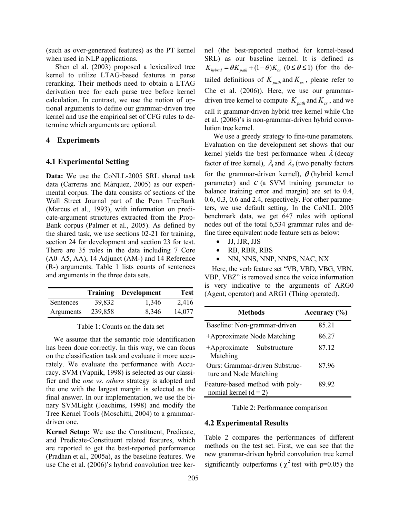(such as over-generated features) as the PT kernel when used in NLP applications.

 Shen el al. (2003) proposed a lexicalized tree kernel to utilize LTAG-based features in parse reranking. Their methods need to obtain a LTAG derivation tree for each parse tree before kernel calculation. In contrast, we use the notion of optional arguments to define our grammar-driven tree kernel and use the empirical set of CFG rules to determine which arguments are optional.

## **4 Experiments**

#### **4.1 Experimental Setting**

**Data:** We use the CoNLL-2005 SRL shared task data (Carreras and Màrquez, 2005) as our experimental corpus. The data consists of sections of the Wall Street Journal part of the Penn TreeBank (Marcus et al., 1993), with information on predicate-argument structures extracted from the Prop-Bank corpus (Palmer et al., 2005). As defined by the shared task, we use sections 02-21 for training, section 24 for development and section 23 for test. There are 35 roles in the data including 7 Core (A0–A5, AA), 14 Adjunct (AM-) and 14 Reference (R-) arguments. Table 1 lists counts of sentences and arguments in the three data sets.

|           |         | <b>Training Development</b> | <b>Test</b> |
|-----------|---------|-----------------------------|-------------|
| Sentences | 39,832  | 1,346                       | 2,416       |
| Arguments | 239,858 | 8,346                       | 14,077      |

Table 1: Counts on the data set

We assume that the semantic role identification has been done correctly. In this way, we can focus on the classification task and evaluate it more accurately. We evaluate the performance with Accuracy. SVM (Vapnik, 1998) is selected as our classifier and the *one vs. others* strategy is adopted and the one with the largest margin is selected as the final answer. In our implementation, we use the binary SVMLight (Joachims, 1998) and modify the Tree Kernel Tools (Moschitti, 2004) to a grammardriven one.

**Kernel Setup:** We use the Constituent, Predicate, and Predicate-Constituent related features, which are reported to get the best-reported performance (Pradhan et al., 2005a), as the baseline features. We use Che et al. (2006)'s hybrid convolution tree kernel (the best-reported method for kernel-based SRL) as our baseline kernel. It is defined as  $K_{hybrid} = \theta K_{path} + (1 - \theta) K_{cs}$  (0 ≤  $\theta$  ≤ 1) (for the detailed definitions of  $K_{path}$  and  $K_{cs}$ , please refer to Che et al. (2006)). Here, we use our grammardriven tree kernel to compute  $K_{path}$  and  $K_{cs}$ , and we call it grammar-driven hybrid tree kernel while Che et al. (2006)'s is non-grammar-driven hybrid convolution tree kernel.

We use a greedy strategy to fine-tune parameters. Evaluation on the development set shows that our kernel yields the best performance when  $\lambda$  (decay factor of tree kernel),  $\lambda$ <sub>1</sub> and  $\lambda$ <sub>2</sub> (two penalty factors for the grammar-driven kernel),  $\theta$  (hybrid kernel parameter) and *c* (a SVM training parameter to balance training error and margin) are set to 0.4, 0.6, 0.3, 0.6 and 2.4, respectively. For other parameters, we use default setting. In the CoNLL 2005 benchmark data, we get 647 rules with optional nodes out of the total 6,534 grammar rules and define three equivalent node feature sets as below:

- JJ, JJR, JJS
- RB, RBR, RBS
- NN, NNS, NNP, NNPS, NAC, NX

Here, the verb feature set "VB, VBD, VBG, VBN, VBP, VBZ" is removed since the voice information is very indicative to the arguments of ARG0 (Agent, operator) and ARG1 (Thing operated).

| <b>Methods</b>                                             | Accuracy $(\% )$ |
|------------------------------------------------------------|------------------|
| Baseline: Non-grammar-driven                               | 85.21            |
| +Approximate Node Matching                                 | 86.27            |
| +Approximate Substructure<br>Matching                      | 87.12            |
| Ours: Grammar-driven Substruc-<br>ture and Node Matching   | 87.96            |
| Feature-based method with poly-<br>nomial kernel $(d = 2)$ | 89.92            |

Table 2: Performance comparison

#### **4.2 Experimental Results**

Table 2 compares the performances of different methods on the test set. First, we can see that the new grammar-driven hybrid convolution tree kernel significantly outperforms ( $\chi^2$  test with p=0.05) the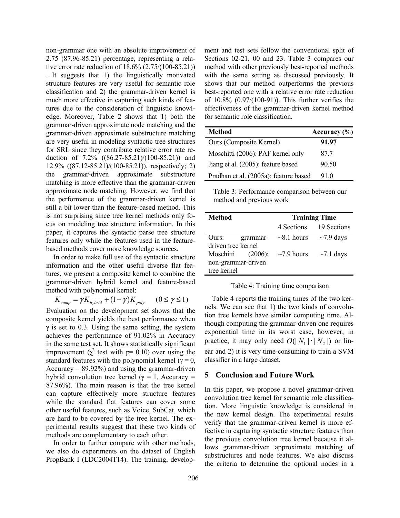non-grammar one with an absolute improvement of 2.75 (87.96-85.21) percentage, representing a relative error rate reduction of 18.6% (2.75/(100-85.21)) . It suggests that 1) the linguistically motivated structure features are very useful for semantic role classification and 2) the grammar-driven kernel is much more effective in capturing such kinds of features due to the consideration of linguistic knowledge. Moreover, Table 2 shows that 1) both the grammar-driven approximate node matching and the grammar-driven approximate substructure matching are very useful in modeling syntactic tree structures for SRL since they contribute relative error rate reduction of 7.2% ((86.27-85.21)/(100-85.21)) and 12.9% ((87.12-85.21)/(100-85.21)), respectively; 2) the grammar-driven approximate substructure matching is more effective than the grammar-driven approximate node matching. However, we find that the performance of the grammar-driven kernel is still a bit lower than the feature-based method. This is not surprising since tree kernel methods only focus on modeling tree structure information. In this paper, it captures the syntactic parse tree structure features only while the features used in the featurebased methods cover more knowledge sources.

In order to make full use of the syntactic structure information and the other useful diverse flat features, we present a composite kernel to combine the grammar-driven hybrid kernel and feature-based method with polynomial kernel:

$$
K_{comp} = \gamma K_{hybrid} + (1 - \gamma) K_{poly} \qquad (0 \le \gamma \le 1)
$$

Evaluation on the development set shows that the composite kernel yields the best performance when  $\gamma$  is set to 0.3. Using the same setting, the system achieves the performance of 91.02% in Accuracy in the same test set. It shows statistically significant improvement ( $\chi^2$  test with p= 0.10) over using the standard features with the polynomial kernel ( $\gamma = 0$ , Accuracy  $= 89.92\%$ ) and using the grammar-driven hybrid convolution tree kernel (γ = 1, Accuracy = 87.96%). The main reason is that the tree kernel can capture effectively more structure features while the standard flat features can cover some other useful features, such as Voice, SubCat, which are hard to be covered by the tree kernel. The experimental results suggest that these two kinds of methods are complementary to each other.

In order to further compare with other methods, we also do experiments on the dataset of English PropBank I (LDC2004T14). The training, development and test sets follow the conventional split of Sections 02-21, 00 and 23. Table 3 compares our method with other previously best-reported methods with the same setting as discussed previously. It shows that our method outperforms the previous best-reported one with a relative error rate reduction of 10.8% (0.97/(100-91)). This further verifies the effectiveness of the grammar-driven kernel method for semantic role classification.

| <b>Method</b>                         | Accuracy $(\% )$ |
|---------------------------------------|------------------|
| <b>Ours (Composite Kernel)</b>        | 91.97            |
| Moschitti (2006): PAF kernel only     | 877              |
| Jiang et al. (2005): feature based    | 90.50            |
| Pradhan et al. (2005a): feature based | 91 0             |

Table 3: Performance comparison between our method and previous work

| <b>Method</b>      |            | <b>Training Time</b> |                 |  |
|--------------------|------------|----------------------|-----------------|--|
|                    |            | 4 Sections           | 19 Sections     |  |
| Ours:              | grammar-   | $\sim$ 8.1 hours     | $\sim$ 7.9 days |  |
| driven tree kernel |            |                      |                 |  |
| Moschitti          | $(2006)$ : | $\sim$ 7.9 hours     | $\sim$ 7.1 days |  |
| non-grammar-driven |            |                      |                 |  |
| tree kernel        |            |                      |                 |  |

Table 4: Training time comparison

Table 4 reports the training times of the two kernels. We can see that 1) the two kinds of convolution tree kernels have similar computing time. Although computing the grammar-driven one requires exponential time in its worst case, however, in practice, it may only need  $O(|N_1| \cdot |N_2|)$  or linear and 2) it is very time-consuming to train a SVM classifier in a large dataset.

### **5 Conclusion and Future Work**

In this paper, we propose a novel grammar-driven convolution tree kernel for semantic role classification. More linguistic knowledge is considered in the new kernel design. The experimental results verify that the grammar-driven kernel is more effective in capturing syntactic structure features than the previous convolution tree kernel because it allows grammar-driven approximate matching of substructures and node features. We also discuss the criteria to determine the optional nodes in a